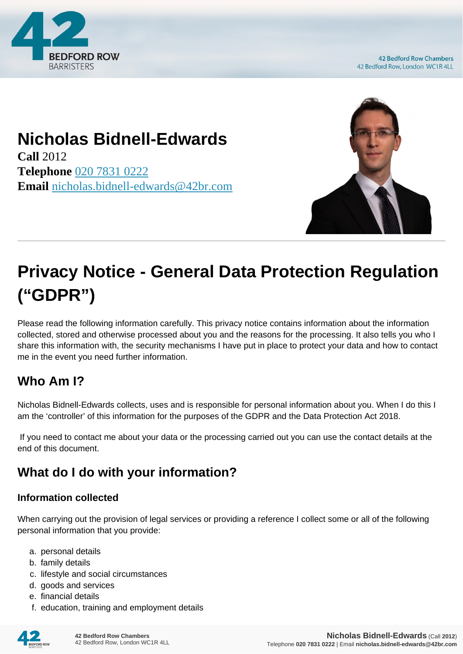

**42 Bedford Row Chambers** 42 Bedford Row, London WC1R 4LL

# **Nicholas Bidnell-Edwards**

**Call** 2012 **Telephone** [020 7831 0222](https://pdf.codeshore.co/_42br/tel:020 7831 0222) **Email** [nicholas.bidnell-edwards@42br.com](mailto:nicholas.bidnell-edwards@42br.com)



# **Privacy Notice - General Data Protection Regulation ("GDPR")**

Please read the following information carefully. This privacy notice contains information about the information collected, stored and otherwise processed about you and the reasons for the processing. It also tells you who I share this information with, the security mechanisms I have put in place to protect your data and how to contact me in the event you need further information.

# **Who Am I?**

Nicholas Bidnell-Edwards collects, uses and is responsible for personal information about you. When I do this I am the 'controller' of this information for the purposes of the GDPR and the Data Protection Act 2018.

 If you need to contact me about your data or the processing carried out you can use the contact details at the end of this document.

# **What do I do with your information?**

#### **Information collected**

When carrying out the provision of legal services or providing a reference I collect some or all of the following personal information that you provide:

- a. personal details
- b. family details
- c. lifestyle and social circumstances
- d. goods and services
- e. financial details
- f. education, training and employment details

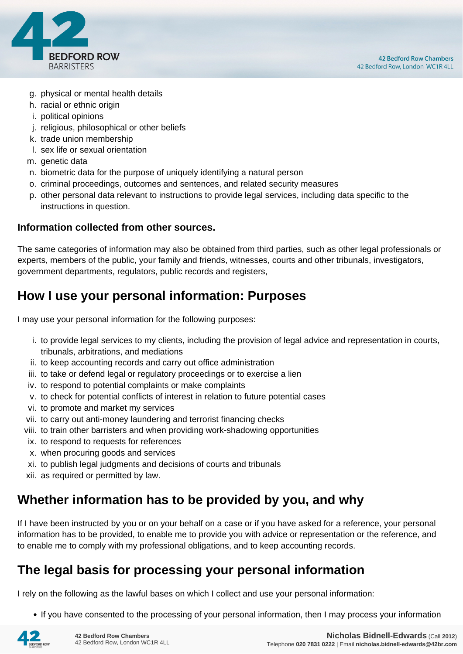

- g. physical or mental health details
- h. racial or ethnic origin
- i. political opinions
- j. religious, philosophical or other beliefs
- k. trade union membership
- l. sex life or sexual orientation
- m. genetic data
- n. biometric data for the purpose of uniquely identifying a natural person
- o. criminal proceedings, outcomes and sentences, and related security measures
- p. other personal data relevant to instructions to provide legal services, including data specific to the instructions in question.

#### **Information collected from other sources.**

The same categories of information may also be obtained from third parties, such as other legal professionals or experts, members of the public, your family and friends, witnesses, courts and other tribunals, investigators, government departments, regulators, public records and registers,

#### **How I use your personal information: Purposes**

I may use your personal information for the following purposes:

- i. to provide legal services to my clients, including the provision of legal advice and representation in courts, tribunals, arbitrations, and mediations
- ii. to keep accounting records and carry out office administration
- iii. to take or defend legal or regulatory proceedings or to exercise a lien
- iv. to respond to potential complaints or make complaints
- v. to check for potential conflicts of interest in relation to future potential cases
- vi. to promote and market my services
- vii. to carry out anti-money laundering and terrorist financing checks
- viii. to train other barristers and when providing work-shadowing opportunities
- ix. to respond to requests for references
- x. when procuring goods and services
- xi. to publish legal judgments and decisions of courts and tribunals
- xii. as required or permitted by law.

#### **Whether information has to be provided by you, and why**

If I have been instructed by you or on your behalf on a case or if you have asked for a reference, your personal information has to be provided, to enable me to provide you with advice or representation or the reference, and to enable me to comply with my professional obligations, and to keep accounting records.

#### **The legal basis for processing your personal information**

I rely on the following as the lawful bases on which I collect and use your personal information:

• If you have consented to the processing of your personal information, then I may process your information

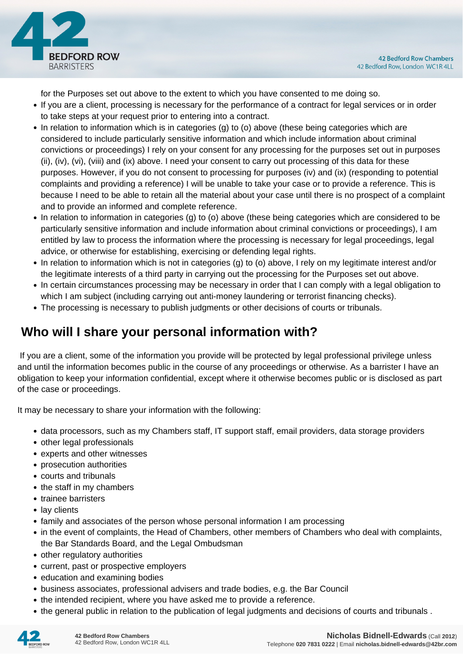

for the Purposes set out above to the extent to which you have consented to me doing so.

- If you are a client, processing is necessary for the performance of a contract for legal services or in order to take steps at your request prior to entering into a contract.
- In relation to information which is in categories (g) to (o) above (these being categories which are considered to include particularly sensitive information and which include information about criminal convictions or proceedings) I rely on your consent for any processing for the purposes set out in purposes (ii), (iv), (vi), (viii) and (ix) above. I need your consent to carry out processing of this data for these purposes. However, if you do not consent to processing for purposes (iv) and (ix) (responding to potential complaints and providing a reference) I will be unable to take your case or to provide a reference. This is because I need to be able to retain all the material about your case until there is no prospect of a complaint and to provide an informed and complete reference.
- In relation to information in categories (g) to (o) above (these being categories which are considered to be particularly sensitive information and include information about criminal convictions or proceedings), I am entitled by law to process the information where the processing is necessary for legal proceedings, legal advice, or otherwise for establishing, exercising or defending legal rights.
- In relation to information which is not in categories (g) to (o) above, I rely on my legitimate interest and/or the legitimate interests of a third party in carrying out the processing for the Purposes set out above.
- In certain circumstances processing may be necessary in order that I can comply with a legal obligation to which I am subject (including carrying out anti-money laundering or terrorist financing checks).
- The processing is necessary to publish judgments or other decisions of courts or tribunals.

## **Who will I share your personal information with?**

 If you are a client, some of the information you provide will be protected by legal professional privilege unless and until the information becomes public in the course of any proceedings or otherwise. As a barrister I have an obligation to keep your information confidential, except where it otherwise becomes public or is disclosed as part of the case or proceedings.

It may be necessary to share your information with the following:

- data processors, such as my Chambers staff, IT support staff, email providers, data storage providers
- other legal professionals
- experts and other witnesses
- prosecution authorities
- courts and tribunals
- the staff in my chambers
- trainee barristers
- lay clients
- family and associates of the person whose personal information I am processing
- in the event of complaints, the Head of Chambers, other members of Chambers who deal with complaints, the Bar Standards Board, and the Legal Ombudsman
- other regulatory authorities
- current, past or prospective employers
- education and examining bodies
- business associates, professional advisers and trade bodies, e.g. the Bar Council
- the intended recipient, where you have asked me to provide a reference.
- the general public in relation to the publication of legal judgments and decisions of courts and tribunals .

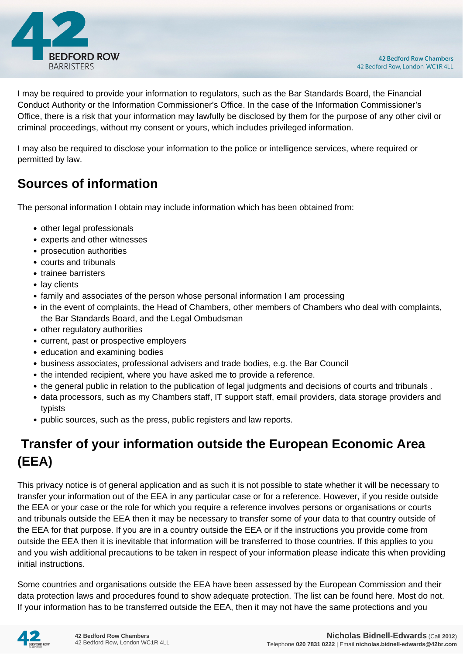

I may be required to provide your information to regulators, such as the Bar Standards Board, the Financial Conduct Authority or the Information Commissioner's Office. In the case of the Information Commissioner's Office, there is a risk that your information may lawfully be disclosed by them for the purpose of any other civil or criminal proceedings, without my consent or yours, which includes privileged information.

I may also be required to disclose your information to the police or intelligence services, where required or permitted by law.

#### **Sources of information**

The personal information I obtain may include information which has been obtained from:

- other legal professionals
- experts and other witnesses
- prosecution authorities
- courts and tribunals
- trainee barristers
- lay clients
- family and associates of the person whose personal information I am processing
- in the event of complaints, the Head of Chambers, other members of Chambers who deal with complaints, the Bar Standards Board, and the Legal Ombudsman
- other regulatory authorities
- current, past or prospective employers
- education and examining bodies
- business associates, professional advisers and trade bodies, e.g. the Bar Council
- the intended recipient, where you have asked me to provide a reference.
- the general public in relation to the publication of legal judgments and decisions of courts and tribunals .
- data processors, such as my Chambers staff, IT support staff, email providers, data storage providers and typists
- public sources, such as the press, public registers and law reports.

# **Transfer of your information outside the European Economic Area (EEA)**

This privacy notice is of general application and as such it is not possible to state whether it will be necessary to transfer your information out of the EEA in any particular case or for a reference. However, if you reside outside the EEA or your case or the role for which you require a reference involves persons or organisations or courts and tribunals outside the EEA then it may be necessary to transfer some of your data to that country outside of the EEA for that purpose. If you are in a country outside the EEA or if the instructions you provide come from outside the EEA then it is inevitable that information will be transferred to those countries. If this applies to you and you wish additional precautions to be taken in respect of your information please indicate this when providing initial instructions.

Some countries and organisations outside the EEA have been assessed by the European Commission and their data protection laws and procedures found to show adequate protection. The list can be found here. Most do not. If your information has to be transferred outside the EEA, then it may not have the same protections and you

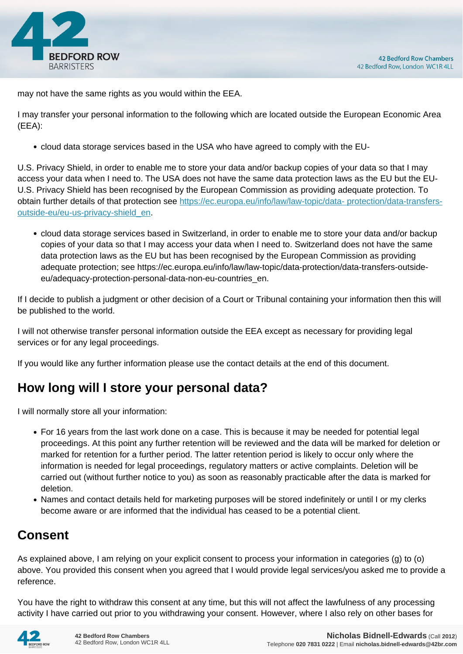

may not have the same rights as you would within the EEA.

I may transfer your personal information to the following which are located outside the European Economic Area (EEA):

cloud data storage services based in the USA who have agreed to comply with the EU-

U.S. Privacy Shield, in order to enable me to store your data and/or backup copies of your data so that I may access your data when I need to. The USA does not have the same data protection laws as the EU but the EU-U.S. Privacy Shield has been recognised by the European Commission as providing adequate protection. To obtain further details of that protection see [https://ec.europa.eu/info/law/law-topic/data- protection/data-transfers](https://ec.europa.eu/info/law/law-topic/data- protection/data-transfers-outside-eu/eu-us-privacy-shield_en)[outside-eu/eu-us-privacy-shield\\_en.](https://ec.europa.eu/info/law/law-topic/data- protection/data-transfers-outside-eu/eu-us-privacy-shield_en)

cloud data storage services based in Switzerland, in order to enable me to store your data and/or backup copies of your data so that I may access your data when I need to. Switzerland does not have the same data protection laws as the EU but has been recognised by the European Commission as providing adequate protection; see https://ec.europa.eu/info/law/law-topic/data-protection/data-transfers-outsideeu/adequacy-protection-personal-data-non-eu-countries\_en.

If I decide to publish a judgment or other decision of a Court or Tribunal containing your information then this will be published to the world.

I will not otherwise transfer personal information outside the EEA except as necessary for providing legal services or for any legal proceedings.

If you would like any further information please use the contact details at the end of this document.

## **How long will I store your personal data?**

I will normally store all your information:

- For 16 years from the last work done on a case. This is because it may be needed for potential legal proceedings. At this point any further retention will be reviewed and the data will be marked for deletion or marked for retention for a further period. The latter retention period is likely to occur only where the information is needed for legal proceedings, regulatory matters or active complaints. Deletion will be carried out (without further notice to you) as soon as reasonably practicable after the data is marked for deletion.
- Names and contact details held for marketing purposes will be stored indefinitely or until I or my clerks become aware or are informed that the individual has ceased to be a potential client.

## **Consent**

As explained above, I am relying on your explicit consent to process your information in categories (g) to (o) above. You provided this consent when you agreed that I would provide legal services/you asked me to provide a reference.

You have the right to withdraw this consent at any time, but this will not affect the lawfulness of any processing activity I have carried out prior to you withdrawing your consent. However, where I also rely on other bases for

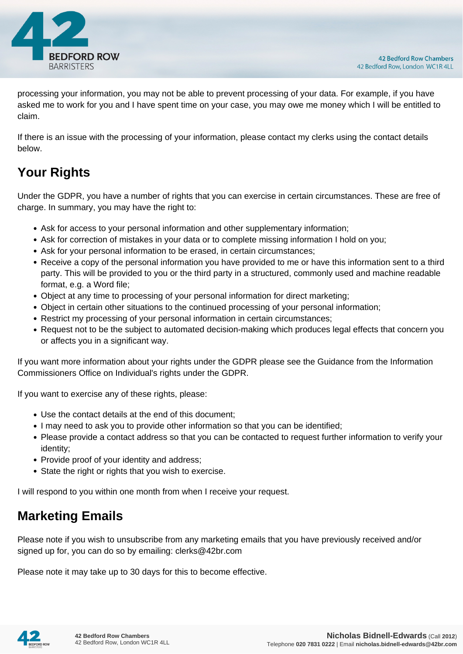

processing your information, you may not be able to prevent processing of your data. For example, if you have asked me to work for you and I have spent time on your case, you may owe me money which I will be entitled to claim.

If there is an issue with the processing of your information, please contact my clerks using the contact details below.

# **Your Rights**

Under the GDPR, you have a number of rights that you can exercise in certain circumstances. These are free of charge. In summary, you may have the right to:

- Ask for access to your personal information and other supplementary information;
- Ask for correction of mistakes in your data or to complete missing information I hold on you;
- Ask for your personal information to be erased, in certain circumstances;
- Receive a copy of the personal information you have provided to me or have this information sent to a third party. This will be provided to you or the third party in a structured, commonly used and machine readable format, e.g. a Word file;
- Object at any time to processing of your personal information for direct marketing;
- Object in certain other situations to the continued processing of your personal information;
- Restrict my processing of your personal information in certain circumstances;
- Request not to be the subject to automated decision-making which produces legal effects that concern you or affects you in a significant way.

If you want more information about your rights under the GDPR please see the Guidance from the Information Commissioners Office on Individual's rights under the GDPR.

If you want to exercise any of these rights, please:

- Use the contact details at the end of this document;
- I may need to ask you to provide other information so that you can be identified;
- Please provide a contact address so that you can be contacted to request further information to verify your identity;
- Provide proof of your identity and address;
- State the right or rights that you wish to exercise.

I will respond to you within one month from when I receive your request.

#### **Marketing Emails**

Please note if you wish to unsubscribe from any marketing emails that you have previously received and/or signed up for, you can do so by emailing: clerks@42br.com

Please note it may take up to 30 days for this to become effective.